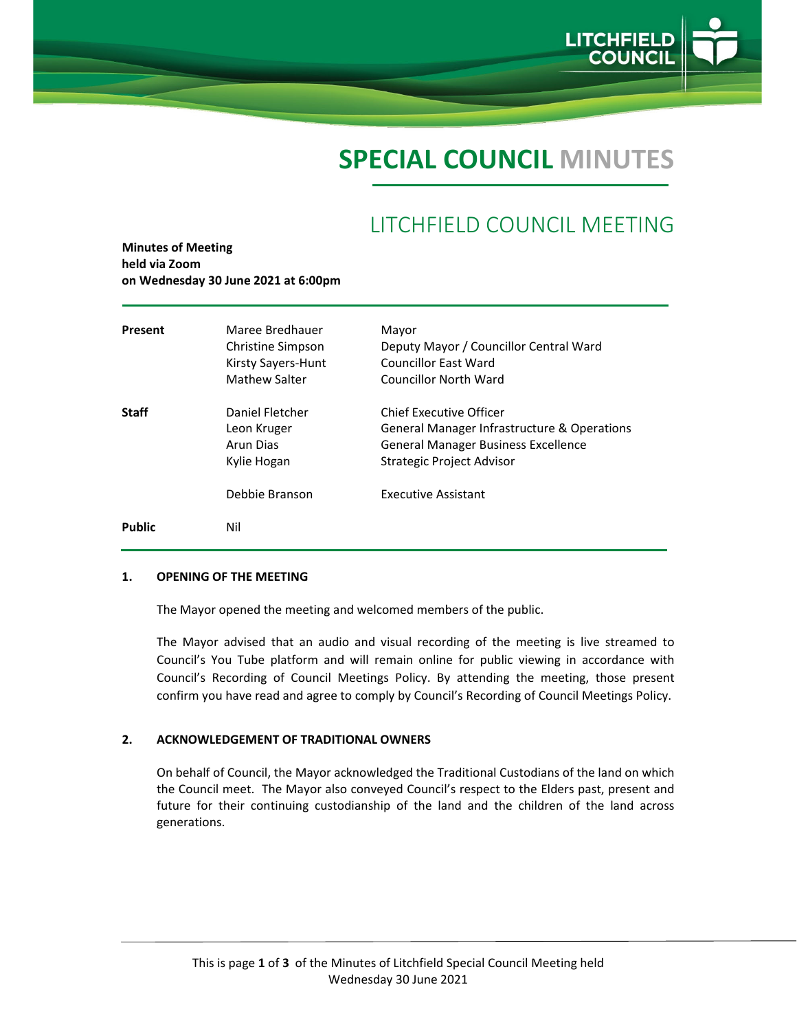

# **SPECIAL COUNCIL MINUTES**

# LITCHFIELD COUNCIL MEETING

**Minutes of Meeting held via Zoom on Wednesday 30 June 2021 at 6:00pm**

| Present       | Maree Bredhauer<br>Christine Simpson<br>Kirsty Sayers-Hunt<br><b>Mathew Salter</b> | Mayor<br>Deputy Mayor / Councillor Central Ward<br>Councillor East Ward<br><b>Councillor North Ward</b>                                    |
|---------------|------------------------------------------------------------------------------------|--------------------------------------------------------------------------------------------------------------------------------------------|
| <b>Staff</b>  | Daniel Fletcher<br>Leon Kruger<br>Arun Dias<br>Kylie Hogan                         | Chief Executive Officer<br>General Manager Infrastructure & Operations<br>General Manager Business Excellence<br>Strategic Project Advisor |
|               | Debbie Branson                                                                     | <b>Executive Assistant</b>                                                                                                                 |
| <b>Public</b> | Nil                                                                                |                                                                                                                                            |

#### **1. OPENING OF THE MEETING**

The Mayor opened the meeting and welcomed members of the public.

The Mayor advised that an audio and visual recording of the meeting is live streamed to Council's You Tube platform and will remain online for public viewing in accordance with Council's Recording of Council Meetings Policy. By attending the meeting, those present confirm you have read and agree to comply by Council's Recording of Council Meetings Policy.

#### **2. ACKNOWLEDGEMENT OF TRADITIONAL OWNERS**

On behalf of Council, the Mayor acknowledged the Traditional Custodians of the land on which the Council meet. The Mayor also conveyed Council's respect to the Elders past, present and future for their continuing custodianship of the land and the children of the land across generations.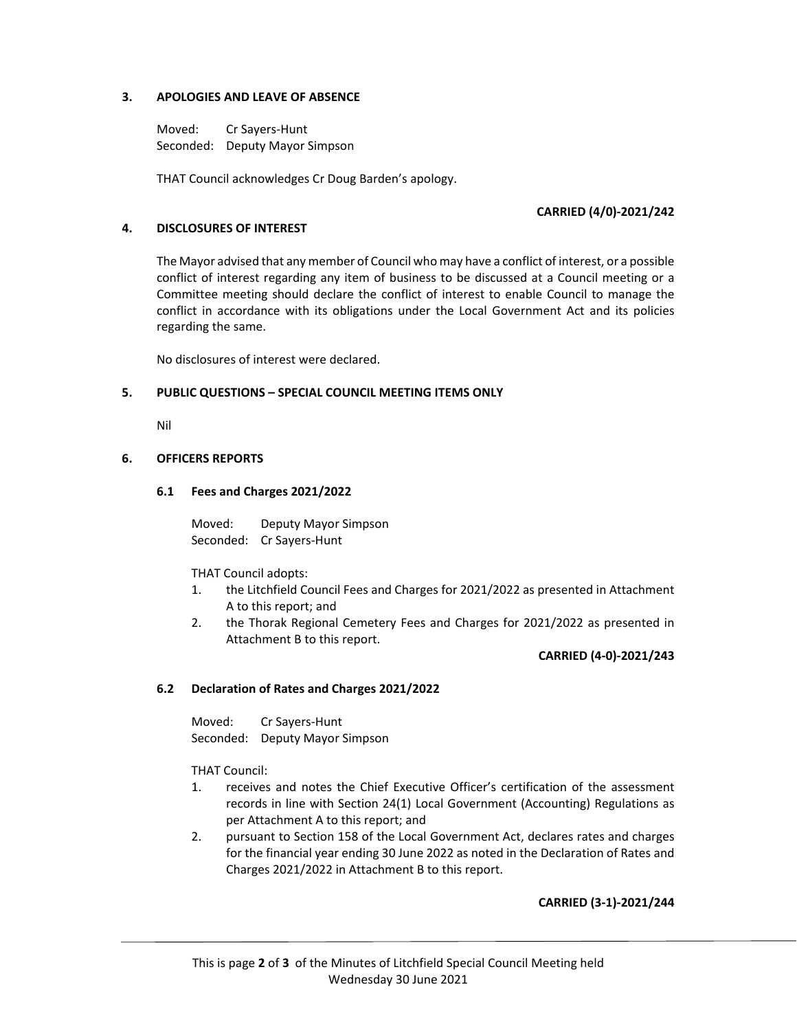# **3. APOLOGIES AND LEAVE OF ABSENCE**

Moved: Cr Sayers‐Hunt Seconded: Deputy Mayor Simpson

THAT Council acknowledges Cr Doug Barden's apology.

# **CARRIED (4/0)‐2021/242**

# **4. DISCLOSURES OF INTEREST**

The Mayor advised that any member of Council who may have a conflict of interest, or a possible conflict of interest regarding any item of business to be discussed at a Council meeting or a Committee meeting should declare the conflict of interest to enable Council to manage the conflict in accordance with its obligations under the Local Government Act and its policies regarding the same.

No disclosures of interest were declared.

#### **5. PUBLIC QUESTIONS – SPECIAL COUNCIL MEETING ITEMS ONLY**

Nil

# **6. OFFICERS REPORTS**

#### **6.1 Fees and Charges 2021/2022**

 Moved: Deputy Mayor Simpson Seconded: Cr Sayers‐Hunt

THAT Council adopts:

- 1. the Litchfield Council Fees and Charges for 2021/2022 as presented in Attachment A to this report; and
- 2. the Thorak Regional Cemetery Fees and Charges for 2021/2022 as presented in Attachment B to this report.

**CARRIED (4‐0)‐2021/243**

# **6.2 Declaration of Rates and Charges 2021/2022**

 Moved: Cr Sayers‐Hunt Seconded: Deputy Mayor Simpson

THAT Council:

- 1. receives and notes the Chief Executive Officer's certification of the assessment records in line with Section 24(1) Local Government (Accounting) Regulations as per Attachment A to this report; and
- 2. pursuant to Section 158 of the Local Government Act, declares rates and charges for the financial year ending 30 June 2022 as noted in the Declaration of Rates and Charges 2021/2022 in Attachment B to this report.

**CARRIED (3‐1)‐2021/244**